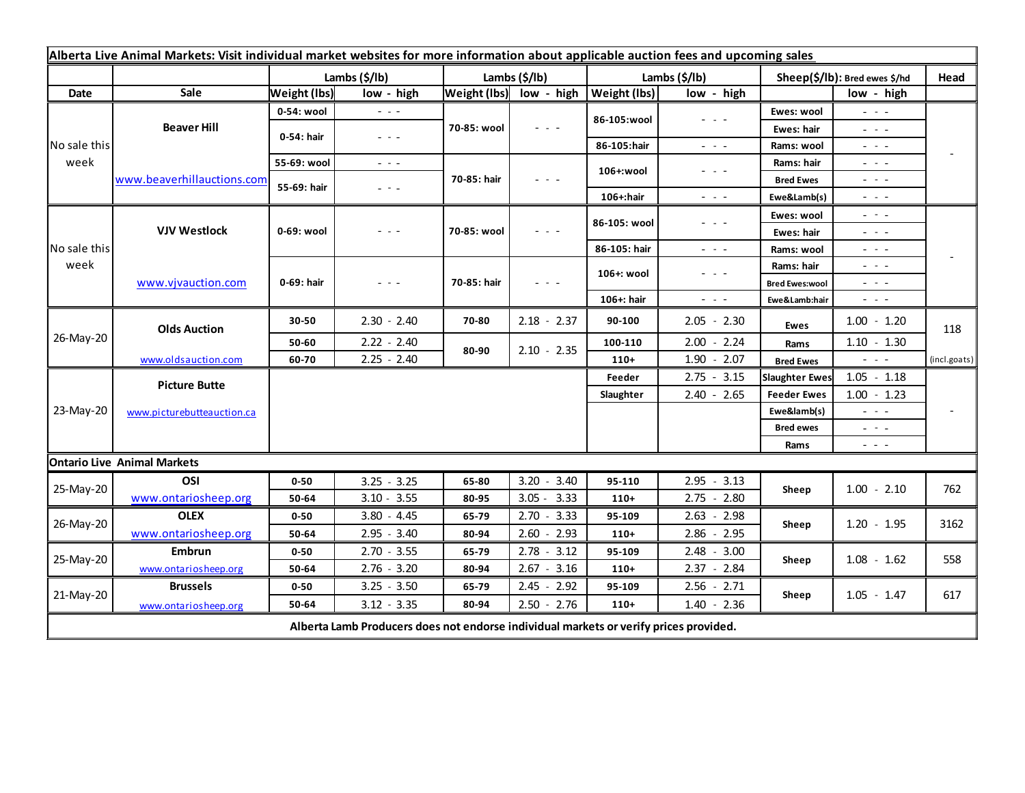| Alberta Live Animal Markets: Visit individual market websites for more information about applicable auction fees and upcoming sales |                            |                     |                                                                                                                        |               |                         |                     |                                                                                                                                                                                                                                                                                                                                                                                                                                                |                               |                                                           |              |
|-------------------------------------------------------------------------------------------------------------------------------------|----------------------------|---------------------|------------------------------------------------------------------------------------------------------------------------|---------------|-------------------------|---------------------|------------------------------------------------------------------------------------------------------------------------------------------------------------------------------------------------------------------------------------------------------------------------------------------------------------------------------------------------------------------------------------------------------------------------------------------------|-------------------------------|-----------------------------------------------------------|--------------|
|                                                                                                                                     |                            | Lambs (\$/lb)       |                                                                                                                        | Lambs (\$/lb) |                         | Lambs (\$/lb)       |                                                                                                                                                                                                                                                                                                                                                                                                                                                | Sheep(\$/lb): Bred ewes \$/hd |                                                           | Head         |
| Date                                                                                                                                | Sale                       | <b>Weight (lbs)</b> | low - high                                                                                                             |               | Weight (lbs) low - high | <b>Weight (lbs)</b> | low - high                                                                                                                                                                                                                                                                                                                                                                                                                                     |                               | low - high                                                |              |
| No sale this<br>week                                                                                                                | <b>Beaver Hill</b>         | 0-54: wool          | $  -$                                                                                                                  | 70-85: wool   | $  -$                   | 86-105:wool         | $\frac{1}{2} \left( \frac{1}{2} \right) + \frac{1}{2} \left( \frac{1}{2} \right) + \frac{1}{2} \left( \frac{1}{2} \right) + \frac{1}{2} \left( \frac{1}{2} \right) + \frac{1}{2} \left( \frac{1}{2} \right) + \frac{1}{2} \left( \frac{1}{2} \right) + \frac{1}{2} \left( \frac{1}{2} \right) + \frac{1}{2} \left( \frac{1}{2} \right) + \frac{1}{2} \left( \frac{1}{2} \right) + \frac{1}{2} \left( \frac{1}{2} \right) + \frac{1}{2} \left($ | Ewes: wool                    | $\omega_{\rm c}$ , $\omega_{\rm c}$                       |              |
|                                                                                                                                     |                            | 0-54: hair          | $\frac{1}{2} \left( \frac{1}{2} \right) \frac{1}{2} \left( \frac{1}{2} \right) \frac{1}{2} \left( \frac{1}{2} \right)$ |               |                         |                     |                                                                                                                                                                                                                                                                                                                                                                                                                                                | Ewes: hair                    | $  -$                                                     |              |
|                                                                                                                                     |                            |                     |                                                                                                                        |               |                         | 86-105:hair         | $\frac{1}{2} \left( \frac{1}{2} \right) = \frac{1}{2} \left( \frac{1}{2} \right)$                                                                                                                                                                                                                                                                                                                                                              | Rams: wool                    | - - -                                                     |              |
|                                                                                                                                     | www.beaverhillauctions.com | 55-69: wool         | $\frac{1}{2} \left( \frac{1}{2} \right) \frac{1}{2} \left( \frac{1}{2} \right) \frac{1}{2} \left( \frac{1}{2} \right)$ | 70-85: hair   | - - -                   | 106+:wool           | $  -$                                                                                                                                                                                                                                                                                                                                                                                                                                          | Rams: hair                    | $  -$                                                     |              |
|                                                                                                                                     |                            | 55-69: hair         | - - -                                                                                                                  |               |                         |                     |                                                                                                                                                                                                                                                                                                                                                                                                                                                | <b>Bred Ewes</b>              | $  -$                                                     |              |
|                                                                                                                                     |                            |                     |                                                                                                                        |               |                         | 106+:hair           | $  -$                                                                                                                                                                                                                                                                                                                                                                                                                                          | Ewe&Lamb(s)                   | - - -                                                     |              |
| No sale this<br>week                                                                                                                | <b>VJV Westlock</b>        | 0-69: wool          | - - -                                                                                                                  | 70-85: wool   | $  -$                   | 86-105: wool        | - - -                                                                                                                                                                                                                                                                                                                                                                                                                                          | Ewes: wool                    | $  -$                                                     |              |
|                                                                                                                                     |                            |                     |                                                                                                                        |               |                         |                     |                                                                                                                                                                                                                                                                                                                                                                                                                                                | Ewes: hair                    | $  -$                                                     |              |
|                                                                                                                                     |                            |                     |                                                                                                                        |               |                         | 86-105: hair        | $\frac{1}{2} \left( \frac{1}{2} \right) \left( \frac{1}{2} \right) \left( \frac{1}{2} \right)$                                                                                                                                                                                                                                                                                                                                                 | Rams: wool                    | $  -$                                                     |              |
|                                                                                                                                     | www.vjvauction.com         | 0-69: hair          | $  -$                                                                                                                  | 70-85: hair   | $  -$                   | 106+: wool          | $  -$                                                                                                                                                                                                                                                                                                                                                                                                                                          | Rams: hair                    | $  -$                                                     |              |
|                                                                                                                                     |                            |                     |                                                                                                                        |               |                         |                     |                                                                                                                                                                                                                                                                                                                                                                                                                                                | <b>Bred Ewes:wool</b>         | $  -$                                                     |              |
|                                                                                                                                     |                            |                     |                                                                                                                        |               |                         | 106+: hair          | $\frac{1}{2} \left( \frac{1}{2} \right) \left( \frac{1}{2} \right) \left( \frac{1}{2} \right)$                                                                                                                                                                                                                                                                                                                                                 | Ewe&Lamb:hair                 | - - -                                                     |              |
| 26-May-20                                                                                                                           | <b>Olds Auction</b>        | 30-50               | $2.30 - 2.40$                                                                                                          | 70-80         | $2.18 - 2.37$           | 90-100              | $2.05 - 2.30$                                                                                                                                                                                                                                                                                                                                                                                                                                  | Ewes                          | $1.00 - 1.20$                                             | 118          |
|                                                                                                                                     |                            | 50-60               | $2.22 - 2.40$                                                                                                          | 80-90         | $2.10 - 2.35$           | 100-110             | $2.00 - 2.24$                                                                                                                                                                                                                                                                                                                                                                                                                                  | Rams                          | $1.10 - 1.30$                                             |              |
|                                                                                                                                     | www.oldsauction.com        | 60-70               | $2.25 - 2.40$                                                                                                          |               |                         | $110+$              | $1.90 - 2.07$                                                                                                                                                                                                                                                                                                                                                                                                                                  | <b>Bred Ewes</b>              | $\omega_{\rm{c}}$ , $\omega_{\rm{c}}$ , $\omega_{\rm{c}}$ | (incl.goats) |
| 23-May-20                                                                                                                           | <b>Picture Butte</b>       |                     |                                                                                                                        |               |                         | Feeder              | $2.75 - 3.15$                                                                                                                                                                                                                                                                                                                                                                                                                                  | <b>Slaughter Ewes</b>         | $1.05 - 1.18$                                             |              |
|                                                                                                                                     | www.picturebutteauction.ca |                     |                                                                                                                        |               |                         | Slaughter           | $2.40 - 2.65$                                                                                                                                                                                                                                                                                                                                                                                                                                  | <b>Feeder Ewes</b>            | $1.00 - 1.23$                                             |              |
|                                                                                                                                     |                            |                     |                                                                                                                        |               |                         |                     |                                                                                                                                                                                                                                                                                                                                                                                                                                                | Ewe&lamb(s)                   | $\omega_{\rm c}$ , $\omega_{\rm c}$                       |              |
|                                                                                                                                     |                            |                     |                                                                                                                        |               |                         |                     |                                                                                                                                                                                                                                                                                                                                                                                                                                                | <b>Bred ewes</b>              | $  -$                                                     |              |
|                                                                                                                                     |                            |                     |                                                                                                                        |               |                         |                     |                                                                                                                                                                                                                                                                                                                                                                                                                                                | Rams                          | $  -$                                                     |              |
| <b>Ontario Live Animal Markets</b>                                                                                                  |                            |                     |                                                                                                                        |               |                         |                     |                                                                                                                                                                                                                                                                                                                                                                                                                                                |                               |                                                           |              |
| 25-May-20                                                                                                                           | OSI                        | $0 - 50$            | $3.25 - 3.25$                                                                                                          | 65-80         | $3.20 - 3.40$           | 95-110              | $2.95 - 3.13$                                                                                                                                                                                                                                                                                                                                                                                                                                  | Sheep                         | $1.00 - 2.10$                                             | 762          |
|                                                                                                                                     | www.ontariosheep.org       | 50-64               | $3.10 - 3.55$                                                                                                          | 80-95         | $3.05 - 3.33$           | $110+$              | $2.75 - 2.80$                                                                                                                                                                                                                                                                                                                                                                                                                                  |                               |                                                           |              |
| 26-May-20                                                                                                                           | <b>OLEX</b>                | $0 - 50$            | $3.80 - 4.45$                                                                                                          | 65-79         | $2.70 - 3.33$           | 95-109              | $2.63 - 2.98$                                                                                                                                                                                                                                                                                                                                                                                                                                  | Sheep                         | $1.20 - 1.95$                                             | 3162         |
|                                                                                                                                     | www.ontariosheep.org       | 50-64               | $2.95 - 3.40$                                                                                                          | 80-94         | $2.60 - 2.93$           | $110+$              | $2.86 - 2.95$                                                                                                                                                                                                                                                                                                                                                                                                                                  |                               |                                                           |              |
| 25-May-20                                                                                                                           | Embrun                     | $0 - 50$            | $2.70 - 3.55$                                                                                                          | 65-79         | $2.78 - 3.12$           | 95-109              | $2.48 - 3.00$                                                                                                                                                                                                                                                                                                                                                                                                                                  | Sheep                         | $1.08 - 1.62$                                             | 558          |
|                                                                                                                                     | www.ontariosheep.org       | 50-64               | $2.76 - 3.20$                                                                                                          | 80-94         | $2.67 - 3.16$           | $110+$              | $2.37 - 2.84$                                                                                                                                                                                                                                                                                                                                                                                                                                  |                               |                                                           |              |
| 21-May-20                                                                                                                           | <b>Brussels</b>            | $0 - 50$            | $3.25 - 3.50$                                                                                                          | 65-79         | $2.45 - 2.92$           | 95-109              | $2.56 - 2.71$                                                                                                                                                                                                                                                                                                                                                                                                                                  | Sheep                         | $1.05 - 1.47$                                             | 617          |
|                                                                                                                                     | www.ontariosheep.org       | 50-64               | $3.12 - 3.35$                                                                                                          | 80-94         | $2.50 - 2.76$           | $110+$              | $1.40 - 2.36$                                                                                                                                                                                                                                                                                                                                                                                                                                  |                               |                                                           |              |
| Alberta Lamb Producers does not endorse individual markets or verify prices provided.                                               |                            |                     |                                                                                                                        |               |                         |                     |                                                                                                                                                                                                                                                                                                                                                                                                                                                |                               |                                                           |              |